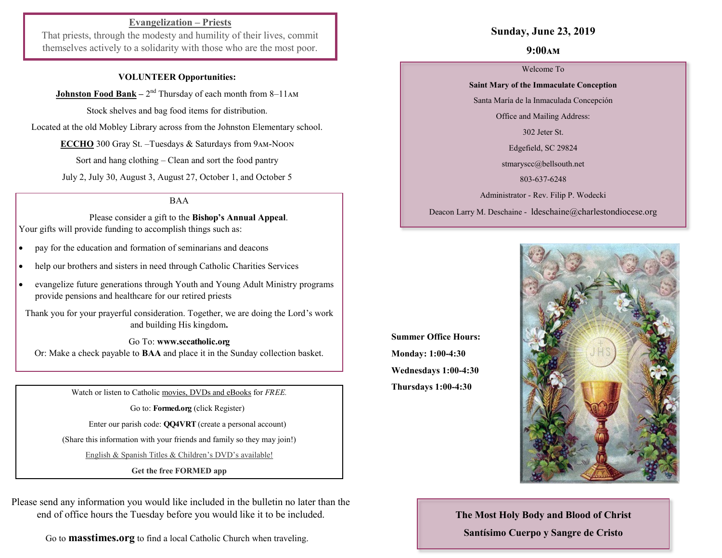## **Evangelization – Priests**

That priests, through the modesty and humility of their lives, commit themselves actively to a solidarity with those who are the most poor.

#### **VOLUNTEER Opportunities:**

**Johnston Food Bank** – 2<sup>nd</sup> Thursday of each month from 8–11 AM

Stock shelves and bag food items for distribution.

Located at the old Mobley Library across from the Johnston Elementary school.

**ECCHO** 300 Gray St. –Tuesdays & Saturdays from 9am-Noon

Sort and hang clothing – Clean and sort the food pantry

July 2, July 30, August 3, August 27, October 1, and October 5

BAA

 Please consider a gift to the **Bishop's Annual Appeal**. Your gifts will provide funding to accomplish things such as:

- pay for the education and formation of seminarians and deacons
- help our brothers and sisters in need through Catholic Charities Services
- evangelize future generations through Youth and Young Adult Ministry programs provide pensions and healthcare for our retired priests

Thank you for your prayerful consideration. Together, we are doing the Lord's work and building His kingdom**.** 

Go To: **www.sccatholic.org** Or: Make a check payable to **BAA** and place it in the Sunday collection basket.

Watch or listen to Catholic movies, DVDs and eBooks for *FREE.*

Go to: **Formed.org** (click Register)

Enter our parish code: **QQ4VRT** (create a personal account)

(Share this information with your friends and family so they may join!)

English & Spanish Titles & Children's DVD's available!

**Get the free FORMED app**

Please send any information you would like included in the bulletin no later than the end of office hours the Tuesday before you would like it to be included.

Go to **masstimes.org** to find a local Catholic Church when traveling.

#### **Sunday, June 23, 2019**

#### **9:00am**

Welcome To

**Saint Mary of the Immaculate Conception**  Santa María de la Inmaculada Concepción

Office and Mailing Address:

302 Jeter St.

Edgefield, SC 29824

[stmaryscc@bellsouth.net](mailto:stmaryscc@bellsouth.net) 

803-637-6248

Administrator - Rev. Filip P. Wodecki

Deacon Larry M. Deschaine - ldeschaine@charlestondiocese.org

**Summer Office Hours: Monday: 1:00-4:30 Wednesdays 1:00-4:30 Thursdays 1:00-4:30**



**The Most Holy Body and Blood of Christ Santísimo Cuerpo y Sangre de Cristo**